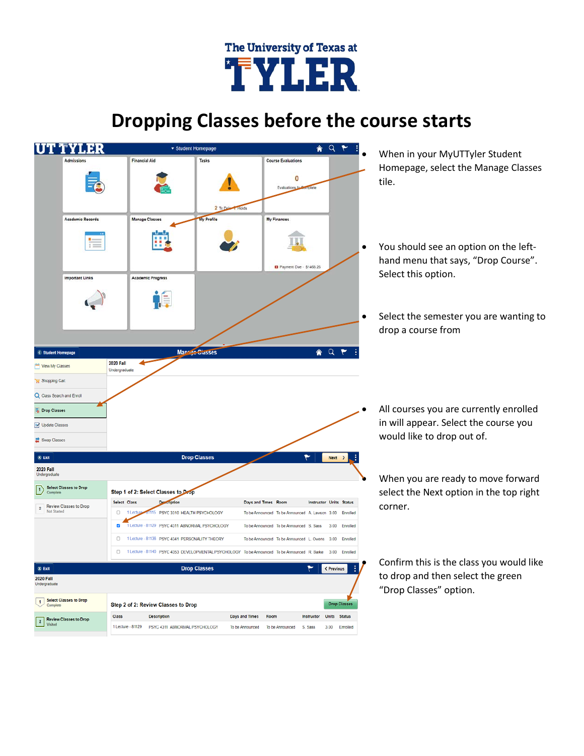## The University of Texas at 'FYLER

## **Dropping Classes before the course starts**